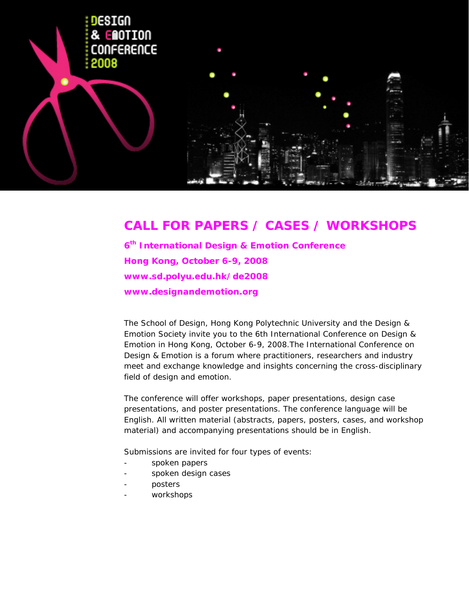

# **CALL FOR PAPERS / CASES / WORKSHOPS**

**6th International Design & Emotion Conference Hong Kong, October 6-9, 2008 www.sd.polyu.edu.hk/de2008 www.designandemotion.org** 

The School of Design, Hong Kong Polytechnic University and the Design & Emotion Society invite you to the 6th International Conference on Design & Emotion in Hong Kong, October 6-9, 2008.The International Conference on Design & Emotion is a forum where practitioners, researchers and industry meet and exchange knowledge and insights concerning the cross-disciplinary field of design and emotion.

The conference will offer workshops, paper presentations, design case presentations, and poster presentations. The conference language will be English. All written material (abstracts, papers, posters, cases, and workshop material) and accompanying presentations should be in English.

Submissions are invited for four types of events:

- spoken papers
- spoken design cases
- posters
- workshops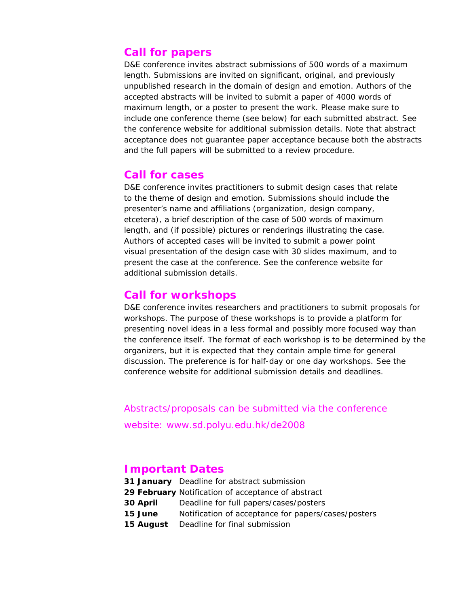# **Call for papers**

D&E conference invites abstract submissions of 500 words of a maximum length. Submissions are invited on significant, original, and previously unpublished research in the domain of design and emotion. Authors of the accepted abstracts will be invited to submit a paper of 4000 words of maximum length, or a poster to present the work. Please make sure to include one conference theme (see below) for each submitted abstract. See the conference website for additional submission details. Note that abstract acceptance does not guarantee paper acceptance because both the abstracts and the full papers will be submitted to a review procedure.

# **Call for cases**

D&E conference invites practitioners to submit design cases that relate to the theme of design and emotion. Submissions should include the presenter's name and affiliations (organization, design company, etcetera), a brief description of the case of 500 words of maximum length, and (if possible) pictures or renderings illustrating the case. Authors of accepted cases will be invited to submit a power point visual presentation of the design case with 30 slides maximum, and to present the case at the conference. See the conference website for additional submission details.

# **Call for workshops**

D&E conference invites researchers and practitioners to submit proposals for workshops. The purpose of these workshops is to provide a platform for presenting novel ideas in a less formal and possibly more focused way than the conference itself. The format of each workshop is to be determined by the organizers, but it is expected that they contain ample time for general discussion. The preference is for half-day or one day workshops. See the conference website for additional submission details and deadlines.

Abstracts/proposals can be submitted via the conference

website: www.sd.polyu.edu.hk/de2008

# **Important Dates**

- **31 January** Deadline for abstract submission
- **29 February** Notification of acceptance of abstract
- **30 April** Deadline for full papers/cases/posters
- **15 June** Notification of acceptance for papers/cases/posters
- **15 August** Deadline for final submission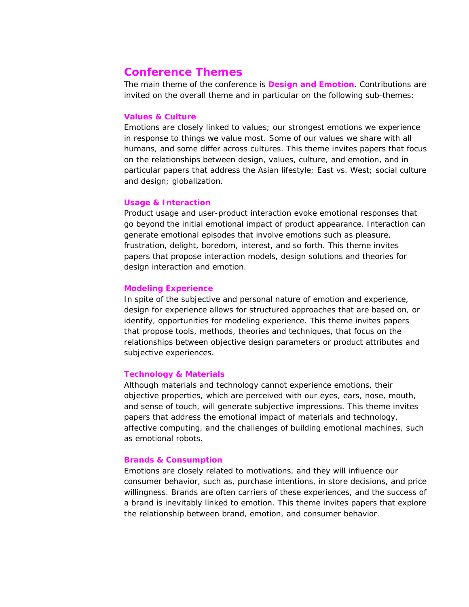# **Conference Themes**

The main theme of the conference is **Design and Emotion**. Contributions are invited on the overall theme and in particular on the following sub-themes:

### **Values & Culture**

Emotions are closely linked to values; our strongest emotions we experience in response to things we value most. Some of our values we share with all humans, and some differ across cultures. This theme invites papers that focus on the relationships between design, values, culture, and emotion, and in particular papers that address the Asian lifestyle; East vs. West; social culture and design; globalization.

### **Usage & Interaction**

Product usage and user-product interaction evoke emotional responses that go beyond the initial emotional impact of product appearance. Interaction can generate emotional episodes that involve emotions such as pleasure, frustration, delight, boredom, interest, and so forth. This theme invites papers that propose interaction models, design solutions and theories for design interaction and emotion.

#### **Modeling Experience**

In spite of the subjective and personal nature of emotion and experience, design for experience allows for structured approaches that are based on, or identify, opportunities for modeling experience. This theme invites papers that propose tools, methods, theories and techniques, that focus on the relationships between objective design parameters or product attributes and subjective experiences.

#### **Technology & Materials**

Although materials and technology cannot experience emotions, their objective properties, which are perceived with our eyes, ears, nose, mouth, and sense of touch, will generate subjective impressions. This theme invites papers that address the emotional impact of materials and technology, affective computing, and the challenges of building emotional machines, such as emotional robots.

#### **Brands & Consumption**

Emotions are closely related to motivations, and they will influence our consumer behavior, such as, purchase intentions, in store decisions, and price willingness. Brands are often carriers of these experiences, and the success of a brand is inevitably linked to emotion. This theme invites papers that explore the relationship between brand, emotion, and consumer behavior.